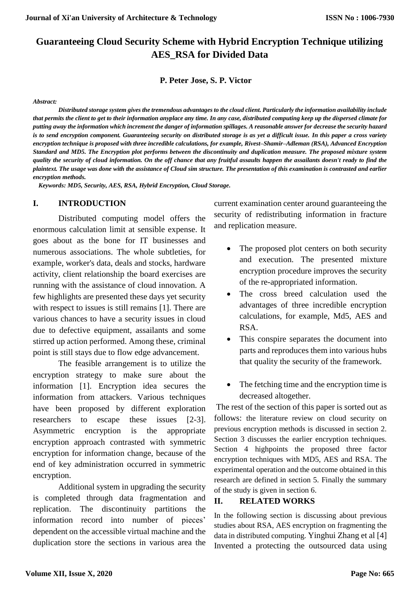# **Guaranteeing Cloud Security Scheme with Hybrid Encryption Technique utilizing AES\_RSA for Divided Data**

**P. Peter Jose, S. P. Victor** 

#### *Abstract:*

*Distributed storage system gives the tremendous advantages to the cloud client. Particularly the information availability include that permits the client to get to their information anyplace any time. In any case, distributed computing keep up the dispersed climate for putting away the information which increment the danger of information spillages. A reasonable answer for decrease the security hazard is to send encryption component. Guaranteeing security on distributed storage is as yet a difficult issue. In this paper a cross variety encryption technique is proposed with three incredible calculations, for example, Rivest–Shamir–Adleman (RSA), Advanced Encryption Standard and MD5. The Encryption plot performs between the discontinuity and duplication measure. The proposed mixture system quality the security of cloud information. On the off chance that any fruitful assaults happen the assailants doesn't ready to find the plaintext. The usage was done with the assistance of Cloud sim structure. The presentation of this examination is contrasted and earlier encryption methods.*

*Keywords: MD5, Security, AES, RSA, Hybrid Encryption, Cloud Storage.* 

### **I. INTRODUCTION**

Distributed computing model offers the enormous calculation limit at sensible expense. It goes about as the bone for IT businesses and numerous associations. The whole subtleties, for example, worker's data, deals and stocks, hardware activity, client relationship the board exercises are running with the assistance of cloud innovation. A few highlights are presented these days yet security with respect to issues is still remains [1]. There are various chances to have a security issues in cloud due to defective equipment, assailants and some stirred up action performed. Among these, criminal point is still stays due to flow edge advancement.

The feasible arrangement is to utilize the encryption strategy to make sure about the information [1]. Encryption idea secures the information from attackers. Various techniques have been proposed by different exploration researchers to escape these issues [2-3]. Asymmetric encryption is the appropriate encryption approach contrasted with symmetric encryption for information change, because of the end of key administration occurred in symmetric encryption.

Additional system in upgrading the security is completed through data fragmentation and replication. The discontinuity partitions the information record into number of pieces' dependent on the accessible virtual machine and the duplication store the sections in various area the current examination center around guaranteeing the security of redistributing information in fracture and replication measure.

- The proposed plot centers on both security and execution. The presented mixture encryption procedure improves the security of the re-appropriated information.
- The cross breed calculation used the advantages of three incredible encryption calculations, for example, Md5, AES and RSA.
- This conspire separates the document into parts and reproduces them into various hubs that quality the security of the framework.
- The fetching time and the encryption time is decreased altogether.

The rest of the section of this paper is sorted out as follows: the literature review on cloud security on previous encryption methods is discussed in section 2. Section 3 discusses the earlier encryption techniques. Section 4 highpoints the proposed three factor encryption techniques with MD5, AES and RSA. The experimental operation and the outcome obtained in this research are defined in section 5. Finally the summary of the study is given in section 6.

### **II. RELATED WORKS**

In the following section is discussing about previous studies about RSA, AES encryption on fragmenting the data in distributed computing. Yinghui Zhang et al [4] Invented a protecting the outsourced data using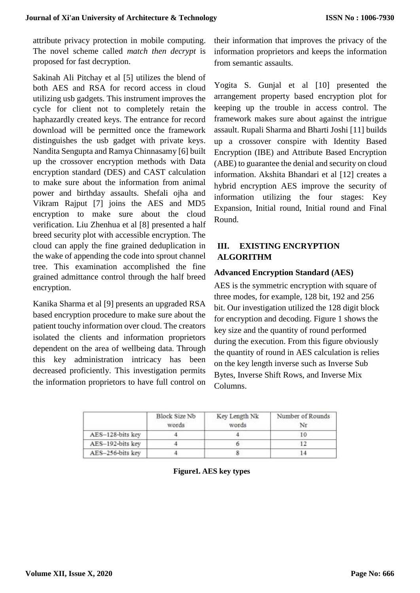attribute privacy protection in mobile computing. The novel scheme called *match then decrypt* is proposed for fast decryption.

Sakinah Ali Pitchay et al [5] utilizes the blend of both AES and RSA for record access in cloud utilizing usb gadgets. This instrument improves the cycle for client not to completely retain the haphazardly created keys. The entrance for record download will be permitted once the framework distinguishes the usb gadget with private keys. Nandita Sengupta and Ramya Chinnasamy [6] built up the crossover encryption methods with Data encryption standard (DES) and CAST calculation to make sure about the information from animal power and birthday assaults. Shefali ojha and Vikram Rajput [7] joins the AES and MD5 encryption to make sure about the cloud verification. Liu Zhenhua et al [8] presented a half breed security plot with accessible encryption. The cloud can apply the fine grained deduplication in the wake of appending the code into sprout channel tree. This examination accomplished the fine grained admittance control through the half breed encryption.

Kanika Sharma et al [9] presents an upgraded RSA based encryption procedure to make sure about the patient touchy information over cloud. The creators isolated the clients and information proprietors dependent on the area of wellbeing data. Through this key administration intricacy has been decreased proficiently. This investigation permits the information proprietors to have full control on their information that improves the privacy of the information proprietors and keeps the information from semantic assaults.

Yogita S. Gunjal et al [10] presented the arrangement property based encryption plot for keeping up the trouble in access control. The framework makes sure about against the intrigue assault. Rupali Sharma and Bharti Joshi [11] builds up a crossover conspire with Identity Based Encryption (IBE) and Attribute Based Encryption (ABE) to guarantee the denial and security on cloud information. Akshita Bhandari et al [12] creates a hybrid encryption AES improve the security of information utilizing the four stages: Key Expansion, Initial round, Initial round and Final Round.

## **III. EXISTING ENCRYPTION ALGORITHM**

## **Advanced Encryption Standard (AES)**

AES is the symmetric encryption with square of three modes, for example, 128 bit, 192 and 256 bit. Our investigation utilized the 128 digit block for encryption and decoding. Figure 1 shows the key size and the quantity of round performed during the execution. From this figure obviously the quantity of round in AES calculation is relies on the key length inverse such as Inverse Sub Bytes, Inverse Shift Rows, and Inverse Mix Columns.

|                  | <b>Block Size Nb</b><br>words | Key Length Nk<br>words | Number of Rounds<br>Nr |
|------------------|-------------------------------|------------------------|------------------------|
| AES-128-bits key |                               |                        | 10                     |
| AES-192-bits key |                               |                        |                        |
| AES-256-bits key |                               |                        |                        |

**Figure 1. AES key types**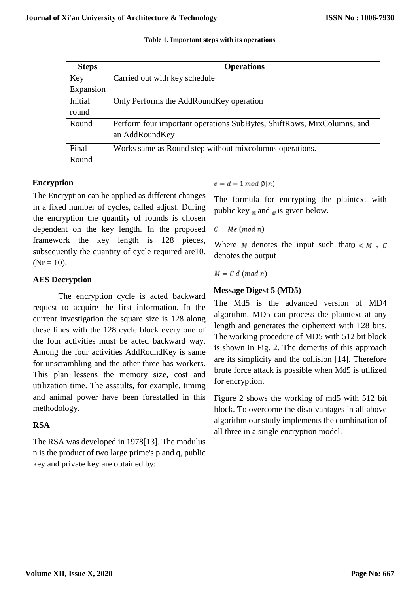| Table 1. Important steps with its operations |  |  |
|----------------------------------------------|--|--|
|----------------------------------------------|--|--|

| <b>Steps</b> | <b>Operations</b>                                                      |
|--------------|------------------------------------------------------------------------|
| Key          | Carried out with key schedule                                          |
| Expansion    |                                                                        |
| Initial      | Only Performs the AddRoundKey operation                                |
| round        |                                                                        |
| Round        | Perform four important operations SubBytes, ShiftRows, MixColumns, and |
|              | an AddRoundKey                                                         |
| Final        | Works same as Round step without mixcolumns operations.                |
| Round        |                                                                        |

## **Encryption**

The Encryption can be applied as different changes in a fixed number of cycles, called adjust. During the encryption the quantity of rounds is chosen dependent on the key length. In the proposed framework the key length is 128 pieces, subsequently the quantity of cycle required are10.  $(Nr = 10)$ .

## **AES Decryption**

The encryption cycle is acted backward request to acquire the first information. In the current investigation the square size is 128 along these lines with the 128 cycle block every one of the four activities must be acted backward way. Among the four activities AddRoundKey is same for unscrambling and the other three has workers. This plan lessens the memory size, cost and utilization time. The assaults, for example, timing and animal power have been forestalled in this methodology.

## **RSA**

The RSA was developed in 1978[13]. The modulus n is the product of two large prime's p and q, public key and private key are obtained by:

 $e = d - 1 \mod \mathcal{O}(n)$ 

The formula for encrypting the plaintext with public key  $_n$  and  $_e$  is given below.

 $C = Me (mod n)$ 

Where  $M$  denotes the input such that  $0 \lt M$ ,  $C$ denotes the output

 $M = C d \pmod{n}$ 

## **Message Digest 5 (MD5)**

The Md5 is the advanced version of MD4 algorithm. MD5 can process the plaintext at any length and generates the ciphertext with 128 bits. The working procedure of MD5 with 512 bit block is shown in Fig. 2. The demerits of this approach are its simplicity and the collision [14]. Therefore brute force attack is possible when Md5 is utilized for encryption.

Figure 2 shows the working of md5 with 512 bit block. To overcome the disadvantages in all above algorithm our study implements the combination of all three in a single encryption model.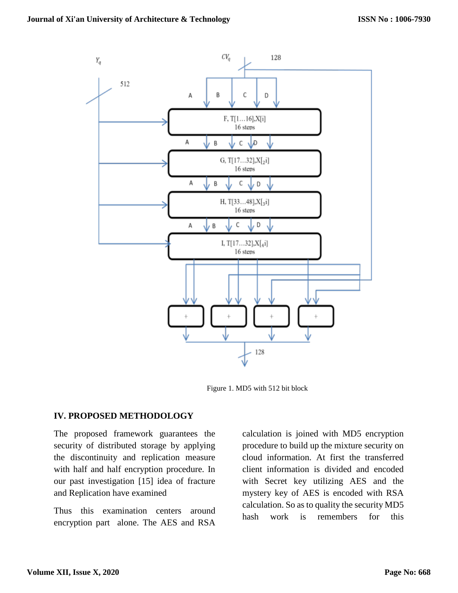

Figure 1. MD5 with 512 bit block

### **IV. PROPOSED METHODOLOGY**

The proposed framework guarantees the security of distributed storage by applying the discontinuity and replication measure with half and half encryption procedure. In our past investigation [15] idea of fracture and Replication have examined

Thus this examination centers around encryption part alone. The AES and RSA calculation is joined with MD5 encryption procedure to build up the mixture security on cloud information. At first the transferred client information is divided and encoded with Secret key utilizing AES and the mystery key of AES is encoded with RSA calculation. So as to quality the security MD5 hash work is remembers for this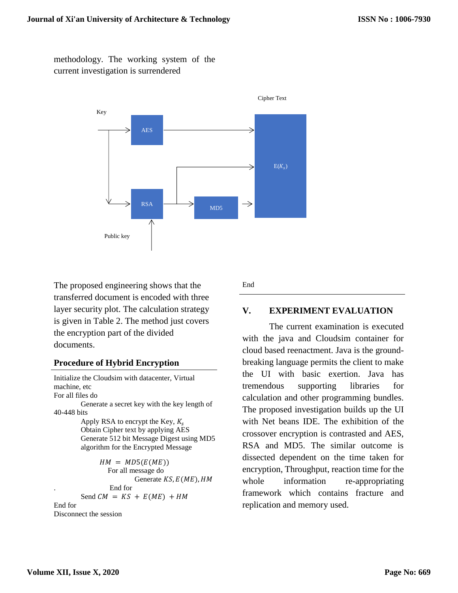methodology. The working system of the current investigation is surrendered



Cipher Text

The proposed engineering shows that the transferred document is encoded with three layer security plot. The calculation strategy is given in Table 2. The method just covers the encryption part of the divided documents.

## **Procedure of Hybrid Encryption**

```
Initialize the Cloudsim with datacenter, Virtual 
machine, etc 
For all files do
        Generate a secret key with the key length of 
40-448 bits
        Apply RSA to encrypt the Key, K_sObtain Cipher text by applying AES 
        Generate 512 bit Message Digest using MD5 
        algorithm for the Encrypted Message
              HM = MD5(E(ME))For all message do
                         Generate KS, E(ME), HM. End for
        Send CM = KS + E(ME) + HMEnd for
Disconnect the session
```
End

## **V. EXPERIMENT EVALUATION**

The current examination is executed with the java and Cloudsim container for cloud based reenactment. Java is the groundbreaking language permits the client to make the UI with basic exertion. Java has tremendous supporting libraries for calculation and other programming bundles. The proposed investigation builds up the UI with Net beans IDE. The exhibition of the crossover encryption is contrasted and AES, RSA and MD5. The similar outcome is dissected dependent on the time taken for encryption, Throughput, reaction time for the whole information re-appropriating framework which contains fracture and replication and memory used.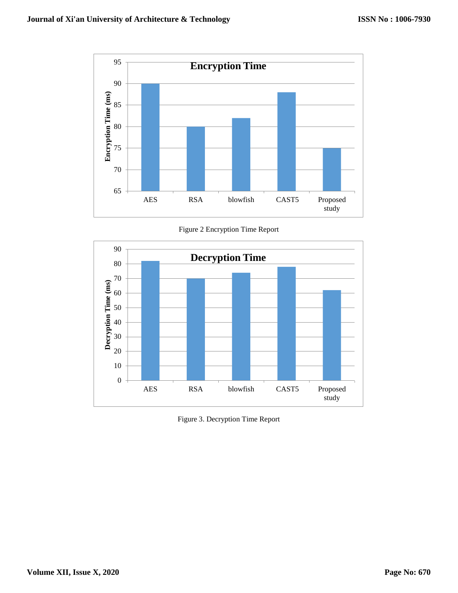

Figure 2 Encryption Time Report



Figure 3. Decryption Time Report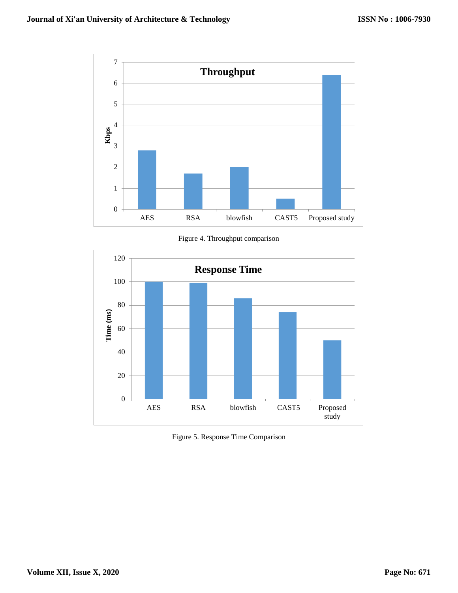

Figure 4. Throughput comparison



Figure 5. Response Time Comparison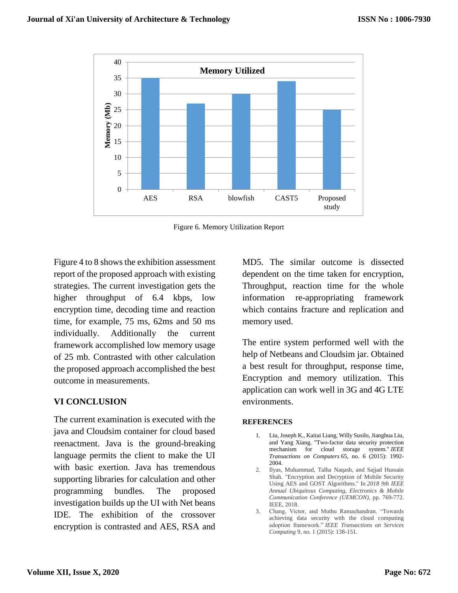

Figure 6. Memory Utilization Report

Figure 4 to 8 shows the exhibition assessment report of the proposed approach with existing strategies. The current investigation gets the higher throughput of 6.4 kbps, low encryption time, decoding time and reaction time, for example, 75 ms, 62ms and 50 ms individually. Additionally the current framework accomplished low memory usage of 25 mb. Contrasted with other calculation the proposed approach accomplished the best outcome in measurements.

## **VI CONCLUSION**

The current examination is executed with the java and Cloudsim container for cloud based reenactment. Java is the ground-breaking language permits the client to make the UI with basic exertion. Java has tremendous supporting libraries for calculation and other programming bundles. The proposed investigation builds up the UI with Net beans IDE. The exhibition of the crossover encryption is contrasted and AES, RSA and

MD5. The similar outcome is dissected dependent on the time taken for encryption, Throughput, reaction time for the whole information re-appropriating framework which contains fracture and replication and memory used.

The entire system performed well with the help of Netbeans and Cloudsim jar. Obtained a best result for throughput, response time, Encryption and memory utilization. This application can work well in 3G and 4G LTE environments.

#### **REFERENCES**

- 1. Liu, Joseph K., Kaitai Liang, Willy Susilo, Jianghua Liu, and Yang Xiang. "Two-factor data security protection mechanism for cloud storage system." *IEEE Transactions on Computers* 65, no. 6 (2015): 1992- 2004.
- 2. Ilyas, Muhammad, Talha Naqash, and Sajjad Hussain Shah. "Encryption and Decryption of Mobile Security Using AES and GOST Algorithms." In *2018 9th IEEE Annual Ubiquitous Computing, Electronics & Mobile Communication Conference (UEMCON)*, pp. 769-772. IEEE, 2018.
- 3. Chang, Victor, and Muthu Ramachandran. "Towards achieving data security with the cloud computing adoption framework." *IEEE Transactions on Services Computing* 9, no. 1 (2015): 138-151.